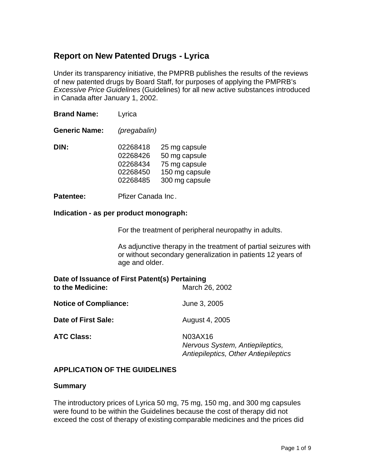# **Report on New Patented Drugs - Lyrica**

Under its transparency initiative, the PMPRB publishes the results of the reviews of new patented drugs by Board Staff, for purposes of applying the PMPRB's *Excessive Price Guidelines* (Guidelines) for all new active substances introduced in Canada after January 1, 2002.

| <b>Brand Name:</b>   | Lyrica                                                   |                                                                                     |  |
|----------------------|----------------------------------------------------------|-------------------------------------------------------------------------------------|--|
| <b>Generic Name:</b> | (pregabalin)                                             |                                                                                     |  |
| DIN:                 | 02268418<br>02268426<br>02268434<br>02268450<br>02268485 | 25 mg capsule<br>50 mg capsule<br>75 mg capsule<br>150 mg capsule<br>300 mg capsule |  |

**Patentee:** Pfizer Canada Inc.

#### **Indication - as per product monograph:**

For the treatment of peripheral neuropathy in adults.

As adjunctive therapy in the treatment of partial seizures with or without secondary generalization in patients 12 years of age and older.

| Date of Issuance of First Patent(s) Pertaining<br>to the Medicine: | March 26, 2002                                                                     |
|--------------------------------------------------------------------|------------------------------------------------------------------------------------|
| <b>Notice of Compliance:</b>                                       | June 3, 2005                                                                       |
| Date of First Sale:                                                | August 4, 2005                                                                     |
| <b>ATC Class:</b>                                                  | N03AX16<br>Nervous System, Antiepileptics,<br>Antiepileptics, Other Antiepileptics |

#### **APPLICATION OF THE GUIDELINES**

#### **Summary**

The introductory prices of Lyrica 50 mg, 75 mg, 150 mg, and 300 mg capsules were found to be within the Guidelines because the cost of therapy did not exceed the cost of therapy of existing comparable medicines and the prices did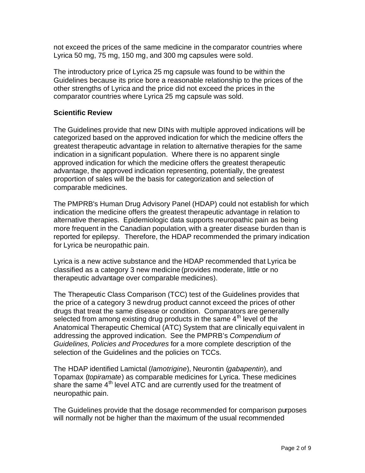not exceed the prices of the same medicine in the comparator countries where Lyrica 50 mg, 75 mg, 150 mg, and 300 mg capsules were sold.

The introductory price of Lyrica 25 mg capsule was found to be within the Guidelines because its price bore a reasonable relationship to the prices of the other strengths of Lyrica and the price did not exceed the prices in the comparator countries where Lyrica 25 mg capsule was sold.

## **Scientific Review**

The Guidelines provide that new DINs with multiple approved indications will be categorized based on the approved indication for which the medicine offers the greatest therapeutic advantage in relation to alternative therapies for the same indication in a significant population. Where there is no apparent single approved indication for which the medicine offers the greatest therapeutic advantage, the approved indication representing, potentially, the greatest proportion of sales will be the basis for categorization and selection of comparable medicines.

The PMPRB's Human Drug Advisory Panel (HDAP) could not establish for which indication the medicine offers the greatest therapeutic advantage in relation to alternative therapies. Epidemiologic data supports neuropathic pain as being more frequent in the Canadian population, with a greater disease burden than is reported for epilepsy. Therefore, the HDAP recommended the primary indication for Lyrica be neuropathic pain.

Lyrica is a new active substance and the HDAP recommended that Lyrica be classified as a category 3 new medicine (provides moderate, little or no therapeutic advantage over comparable medicines).

The Therapeutic Class Comparison (TCC) test of the Guidelines provides that the price of a category 3 new drug product cannot exceed the prices of other drugs that treat the same disease or condition. Comparators are generally selected from among existing drug products in the same  $4<sup>th</sup>$  level of the Anatomical Therapeutic Chemical (ATC) System that are clinically equi valent in addressing the approved indication. See the PMPRB's *Compendium of Guidelines, Policies and Procedures* for a more complete description of the selection of the Guidelines and the policies on TCCs.

The HDAP identified Lamictal (*lamotrigine*), Neurontin (*gabapentin*), and Topamax (*topiramate*) as comparable medicines for Lyrica. These medicines share the same 4<sup>th</sup> level ATC and are currently used for the treatment of neuropathic pain.

The Guidelines provide that the dosage recommended for comparison purposes will normally not be higher than the maximum of the usual recommended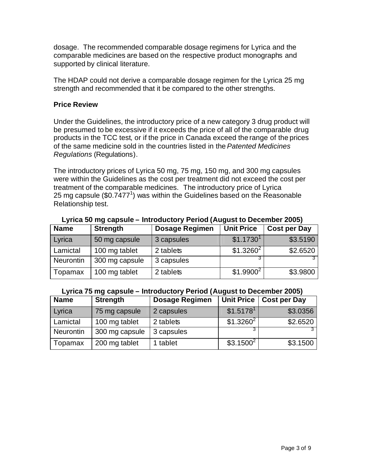dosage. The recommended comparable dosage regimens for Lyrica and the comparable medicines are based on the respective product monographs and supported by clinical literature.

The HDAP could not derive a comparable dosage regimen for the Lyrica 25 mg strength and recommended that it be compared to the other strengths.

### **Price Review**

Under the Guidelines, the introductory price of a new category 3 drug product will be presumed to be excessive if it exceeds the price of all of the comparable drug products in the TCC test, or if the price in Canada exceed the range of the prices of the same medicine sold in the countries listed in the *Patented Medicines Regulations* (Regulations).

The introductory prices of Lyrica 50 mg, 75 mg, 150 mg, and 300 mg capsules were within the Guidelines as the cost per treatment did not exceed the cost per treatment of the comparable medicines. The introductory price of Lyrica 25 mg capsule (\$0.7477<sup>1</sup>) was within the Guidelines based on the Reasonable Relationship test.

| <b>Name</b> | <b>Strength</b> | <b>Dosage Regimen</b> | <b>Unit Price</b>     | <b>Cost per Day</b> |
|-------------|-----------------|-----------------------|-----------------------|---------------------|
| Lyrica      | 50 mg capsule   | 3 capsules            | \$1.1730 <sup>1</sup> | \$3.5190            |
| Lamictal    | 100 mg tablet   | 2 tablets             | $$1.3260^2$           | \$2.6520            |
| Neurontin   | 300 mg capsule  | 3 capsules            |                       |                     |
| Topamax     | 100 mg tablet   | 2 tablets             | $$1.9900^2$           | \$3.9800            |

#### **Lyrica 50 mg capsule – Introductory Period (August to December 2005)**

#### **Lyrica 75 mg capsule – Introductory Period (August to December 2005)**

| <b>Name</b>      | <b>Strength</b> | <b>Dosage Regimen</b> |                       | Unit Price   Cost per Day |
|------------------|-----------------|-----------------------|-----------------------|---------------------------|
| Lyrica           | 75 mg capsule   | 2 capsules            | \$1.5178 <sup>1</sup> | \$3.0356                  |
| Lamictal         | 100 mg tablet   | 2 tablets             | $$1.3260^2$           | \$2.6520                  |
| <b>Neurontin</b> | 300 mg capsule  | 3 capsules            |                       |                           |
| Topamax          | 200 mg tablet   | 1 tablet              | \$3.1500 <sup>2</sup> | \$3.1500                  |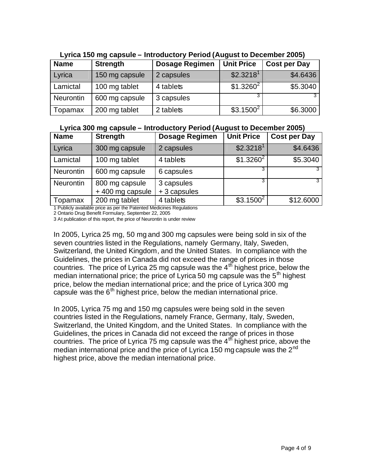| <b>Name</b>      | <b>Strength</b> | <b>Dosage Regimen</b> | <b>Unit Price</b>     | <b>Cost per Day</b> |
|------------------|-----------------|-----------------------|-----------------------|---------------------|
| Lyrica           | 150 mg capsule  | 2 capsules            | \$2.3218 <sup>1</sup> | \$4.6436            |
| Lamictal         | 100 mg tablet   | 4 tablets             | $$1.3260^2$           | \$5.3040            |
| <b>Neurontin</b> | 600 mg capsule  | 3 capsules            |                       |                     |
| Topamax          | 200 mg tablet   | 2 tablets             | $$3.1500^2$           | \$6.3000            |

**Lyrica 150 mg capsule – Introductory Period (August to December 2005)**

#### **Lyrica 300 mg capsule – Introductory Period (August to December 2005)**

| <b>Name</b>      | <b>Strength</b>                   | <b>Dosage Regimen</b>     | <b>Unit Price</b>     | <b>Cost per Day</b> |
|------------------|-----------------------------------|---------------------------|-----------------------|---------------------|
| Lyrica           | 300 mg capsule                    | 2 capsules                | \$2.3218 <sup>1</sup> | \$4.6436            |
| Lamictal         | 100 mg tablet                     | 4 tablets                 | $$1.3260^2$           | \$5.3040            |
| <b>Neurontin</b> | 600 mg capsule                    | 6 capsules                |                       |                     |
| <b>Neurontin</b> | 800 mg capsule<br>+400 mg capsule | 3 capsules<br>+3 capsules |                       |                     |
| Topamax          | 200 mg tablet                     | 4 tablets                 | $$3.1500^2$           | \$12.6000           |

1 Publicly available price as per the Patented Medicines Regulations

2 Ontario Drug Benefit Formulary, September 22, 2005

3 At publication of this report, the price of Neurontin is under review

In 2005, Lyrica 25 mg, 50 mg and 300 mg capsules were being sold in six of the seven countries listed in the Regulations, namely Germany, Italy, Sweden, Switzerland, the United Kingdom, and the United States. In compliance with the Guidelines, the prices in Canada did not exceed the range of prices in those countries. The price of Lyrica 25 mg capsule was the  $4<sup>th</sup>$  highest price, below the median international price; the price of Lyrica 50 mg capsule was the  $5<sup>th</sup>$  highest price, below the median international price; and the price of Lyrica 300 mg capsule was the  $6<sup>th</sup>$  highest price, below the median international price.

In 2005, Lyrica 75 mg and 150 mg capsules were being sold in the seven countries listed in the Regulations, namely France, Germany, Italy, Sweden, Switzerland, the United Kingdom, and the United States. In compliance with the Guidelines, the prices in Canada did not exceed the range of prices in those countries. The price of Lyrica 75 mg capsule was the  $4<sup>th</sup>$  highest price, above the median international price and the price of Lyrica 150 mg capsule was the  $2<sup>nd</sup>$ highest price, above the median international price.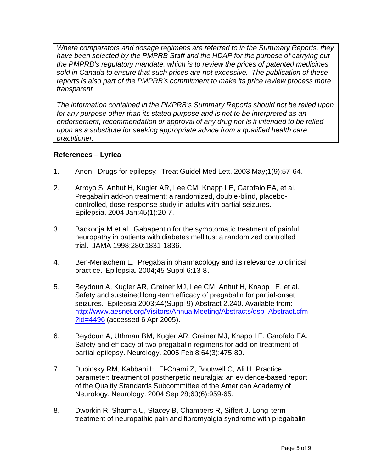*Where comparators and dosage regimens are referred to in the Summary Reports, they have been selected by the PMPRB Staff and the HDAP for the purpose of carrying out the PMPRB's regulatory mandate, which is to review the prices of patented medicines sold in Canada to ensure that such prices are not excessive. The publication of these reports is also part of the PMPRB's commitment to make its price review process more transparent.*

*The information contained in the PMPRB's Summary Reports should not be relied upon*  for any purpose other than its stated purpose and is not to be interpreted as an *endorsement, recommendation or approval of any drug nor is it intended to be relied upon as a substitute for seeking appropriate advice from a qualified health care practitioner.*

## **References – Lyrica**

- 1*.* Anon. Drugs for epilepsy. Treat Guidel Med Lett. 2003 May;1(9):57-64.
- 2. Arroyo S, Anhut H, Kugler AR, Lee CM, Knapp LE, Garofalo EA, et al. Pregabalin add-on treatment: a randomized, double-blind, placebocontrolled, dose-response study in adults with partial seizures. Epilepsia. 2004 Jan;45(1):20-7.
- 3. Backonja M et al. Gabapentin for the symptomatic treatment of painful neuropathy in patients with diabetes mellitus: a randomized controlled trial. JAMA 1998;280:1831-1836.
- 4. Ben-Menachem E. Pregabalin pharmacology and its relevance to clinical practice. Epilepsia. 2004;45 Suppl 6:13-8.
- 5. Beydoun A, Kugler AR, Greiner MJ, Lee CM, Anhut H, Knapp LE, et al. Safety and sustained long-term efficacy of pregabalin for partial-onset seizures. Epilepsia 2003;44(Suppl 9):Abstract 2.240. Available from: http://www.aesnet.org/Visitors/AnnualMeeting/Abstracts/dsp\_Abstract.cfm ?id=4496 (accessed 6 Apr 2005).
- 6. Beydoun A, Uthman BM, Kugler AR, Greiner MJ, Knapp LE, Garofalo EA. Safety and efficacy of two pregabalin regimens for add-on treatment of partial epilepsy. Neurology. 2005 Feb 8;64(3):475-80.
- 7. Dubinsky RM, Kabbani H, El-Chami Z, Boutwell C, Ali H. Practice parameter: treatment of postherpetic neuralgia: an evidence-based report of the Quality Standards Subcommittee of the American Academy of Neurology. Neurology. 2004 Sep 28;63(6):959-65.
- 8. Dworkin R, Sharma U, Stacey B, Chambers R, Siffert J. Long-term treatment of neuropathic pain and fibromyalgia syndrome with pregabalin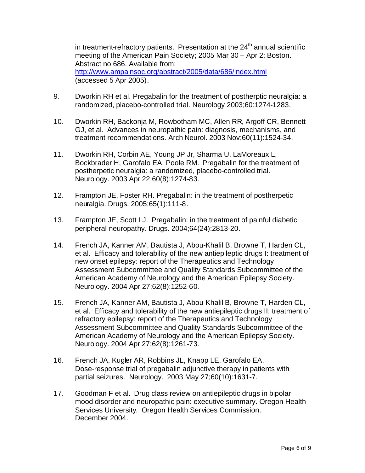in treatment-refractory patients. Presentation at the  $24<sup>th</sup>$  annual scientific meeting of the American Pain Society; 2005 Mar 30 – Apr 2: Boston. Abstract no 686. Available from: http://www.ampainsoc.org/abstract/2005/data/686/index.html (accessed 5 Apr 2005).

- 9. Dworkin RH et al. Pregabalin for the treatment of postherptic neuralgia: a randomized, placebo-controlled trial. Neurology 2003;60:1274-1283.
- 10. Dworkin RH, Backonja M, Rowbotham MC, Allen RR, Argoff CR, Bennett GJ, et al. Advances in neuropathic pain: diagnosis, mechanisms, and treatment recommendations. Arch Neurol. 2003 Nov;60(11):1524-34.
- 11. Dworkin RH, Corbin AE, Young JP Jr, Sharma U, LaMoreaux L, Bockbrader H, Garofalo EA, Poole RM. Pregabalin for the treatment of postherpetic neuralgia: a randomized, placebo-controlled trial. Neurology. 2003 Apr 22;60(8):1274-83.
- 12. Frampton JE, Foster RH. Pregabalin: in the treatment of postherpetic neuralgia. Drugs. 2005;65(1):111-8.
- 13. Frampton JE, Scott LJ. Pregabalin: in the treatment of painful diabetic peripheral neuropathy. Drugs. 2004;64(24):2813-20.
- 14. French JA, Kanner AM, Bautista J, Abou-Khalil B, Browne T, Harden CL, et al. Efficacy and tolerability of the new antiepileptic drugs I: treatment of new onset epilepsy: report of the Therapeutics and Technology Assessment Subcommittee and Quality Standards Subcommittee of the American Academy of Neurology and the American Epilepsy Society. Neurology. 2004 Apr 27;62(8):1252-60.
- 15. French JA, Kanner AM, Bautista J, Abou-Khalil B, Browne T, Harden CL, et al. Efficacy and tolerability of the new antiepileptic drugs II: treatment of refractory epilepsy: report of the Therapeutics and Technology Assessment Subcommittee and Quality Standards Subcommittee of the American Academy of Neurology and the American Epilepsy Society. Neurology. 2004 Apr 27;62(8):1261-73.
- 16. French JA, Kugler AR, Robbins JL, Knapp LE, Garofalo EA. Dose-response trial of pregabalin adjunctive therapy in patients with partial seizures. Neurology. 2003 May 27;60(10):1631-7.
- 17. Goodman F et al. Drug class review on antiepileptic drugs in bipolar mood disorder and neuropathic pain: executive summary. Oregon Health Services University. Oregon Health Services Commission. December 2004.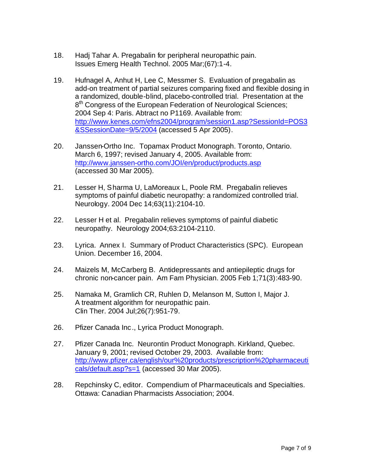- 18. Hadj Tahar A. Pregabalin for peripheral neuropathic pain. Issues Emerg Health Technol. 2005 Mar;(67):1-4.
- 19. Hufnagel A, Anhut H, Lee C, Messmer S. Evaluation of pregabalin as add-on treatment of partial seizures comparing fixed and flexible dosing in a randomized, double-blind, placebo-controlled trial. Presentation at the 8<sup>th</sup> Congress of the European Federation of Neurological Sciences; 2004 Sep 4: Paris. Abtract no P1169. Available from: http://www.kenes.com/efns2004/program/session1.asp?SessionId=POS3 &SSessionDate=9/5/2004 (accessed 5 Apr 2005).
- 20. Janssen-Ortho Inc. Topamax Product Monograph. Toronto, Ontario. March 6, 1997; revised January 4, 2005. Available from: http://www.janssen-ortho.com/JOI/en/product/products.asp (accessed 30 Mar 2005).
- 21. Lesser H, Sharma U, LaMoreaux L, Poole RM. Pregabalin relieves symptoms of painful diabetic neuropathy: a randomized controlled trial. Neurology. 2004 Dec 14;63(11):2104-10.
- 22. Lesser H et al. Pregabalin relieves symptoms of painful diabetic neuropathy. Neurology 2004;63:2104-2110.
- 23. Lyrica. Annex I. Summary of Product Characteristics (SPC). European Union. December 16, 2004.
- 24. Maizels M, McCarberg B. Antidepressants and antiepileptic drugs for chronic non-cancer pain. Am Fam Physician. 2005 Feb 1;71(3):483-90.
- 25. Namaka M, Gramlich CR, Ruhlen D, Melanson M, Sutton I, Major J. A treatment algorithm for neuropathic pain. Clin Ther. 2004 Jul;26(7):951-79.
- 26. Pfizer Canada Inc., Lyrica Product Monograph.
- 27. Pfizer Canada Inc. Neurontin Product Monograph. Kirkland, Quebec. January 9, 2001; revised October 29, 2003. Available from: http://www.pfizer.ca/english/our%20products/prescription%20pharmaceuti cals/default.asp?s=1 (accessed 30 Mar 2005).
- 28. Repchinsky C, editor. Compendium of Pharmaceuticals and Specialties. Ottawa: Canadian Pharmacists Association; 2004.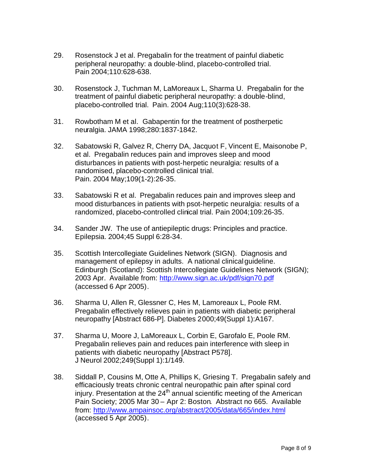- 29. Rosenstock J et al. Pregabalin for the treatment of painful diabetic peripheral neuropathy: a double-blind, placebo-controlled trial. Pain 2004;110:628-638.
- 30. Rosenstock J, Tuchman M, LaMoreaux L, Sharma U. Pregabalin for the treatment of painful diabetic peripheral neuropathy: a double-blind, placebo-controlled trial. Pain. 2004 Aug;110(3):628-38.
- 31. Rowbotham M et al. Gabapentin for the treatment of postherpetic neuralgia. JAMA 1998;280:1837-1842.
- 32. Sabatowski R, Galvez R, Cherry DA, Jacquot F, Vincent E, Maisonobe P, et al. Pregabalin reduces pain and improves sleep and mood disturbances in patients with post-herpetic neuralgia: results of a randomised, placebo-controlled clinical trial. Pain. 2004 May;109(1-2):26-35.
- 33. Sabatowski R et al. Pregabalin reduces pain and improves sleep and mood disturbances in patients with psot-herpetic neuralgia: results of a randomized, placebo-controlled clinical trial. Pain 2004;109:26-35.
- 34. Sander JW. The use of antiepileptic drugs: Principles and practice. Epilepsia. 2004;45 Suppl 6:28-34.
- 35. Scottish Intercollegiate Guidelines Network (SIGN). Diagnosis and management of epilepsy in adults. A national clinical guideline. Edinburgh (Scotland): Scottish Intercollegiate Guidelines Network (SIGN); 2003 Apr. Available from: http://www.sign.ac.uk/pdf/sign70.pdf (accessed 6 Apr 2005).
- 36. Sharma U, Allen R, Glessner C, Hes M, Lamoreaux L, Poole RM. Pregabalin effectively relieves pain in patients with diabetic peripheral neuropathy [Abstract 686-P]. Diabetes 2000;49(Suppl 1):A167.
- 37. Sharma U, Moore J, LaMoreaux L, Corbin E, Garofalo E, Poole RM. Pregabalin relieves pain and reduces pain interference with sleep in patients with diabetic neuropathy [Abstract P578]. J Neurol 2002;249(Suppl 1):1/149.
- 38. Siddall P, Cousins M, Otte A, Phillips K, Griesing T. Pregabalin safely and efficaciously treats chronic central neuropathic pain after spinal cord injury. Presentation at the  $24<sup>th</sup>$  annual scientific meeting of the American Pain Society; 2005 Mar 30 – Apr 2: Boston. Abstract no 665. Available from: http://www.ampainsoc.org/abstract/2005/data/665/index.html (accessed 5 Apr 2005).